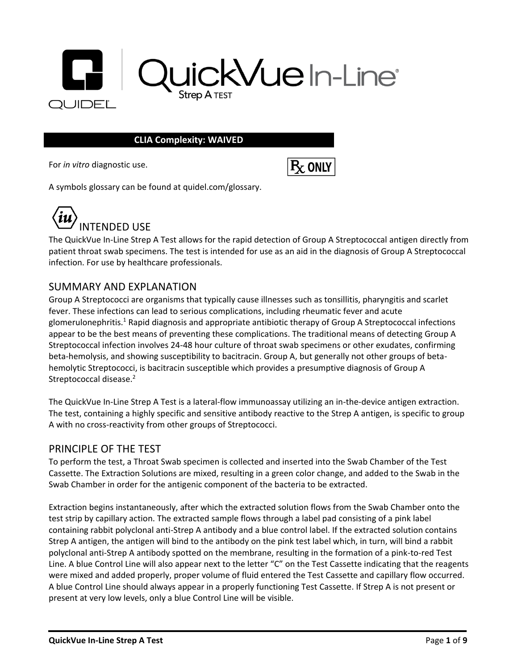

#### **CLIA Complexity: WAIVED**

For *in vitro* diagnostic use.



A symbols glossary can be found at quidel.com/glossary.



The QuickVue In-Line Strep A Test allows for the rapid detection of Group A Streptococcal antigen directly from patient throat swab specimens. The test is intended for use as an aid in the diagnosis of Group A Streptococcal infection. For use by healthcare professionals.

#### SUMMARY AND EXPLANATION

Group A Streptococci are organisms that typically cause illnesses such as tonsillitis, pharyngitis and scarlet fever. These infections can lead to serious complications, including rheumatic fever and acute glomerulonephritis.<sup>1</sup> Rapid diagnosis and appropriate antibiotic therapy of Group A Streptococcal infections appear to be the best means of preventing these complications. The traditional means of detecting Group A Streptococcal infection involves 24-48 hour culture of throat swab specimens or other exudates, confirming beta-hemolysis, and showing susceptibility to bacitracin. Group A, but generally not other groups of betahemolytic Streptococci, is bacitracin susceptible which provides a presumptive diagnosis of Group A Streptococcal disease.<sup>2</sup>

The QuickVue In-Line Strep A Test is a lateral-flow immunoassay utilizing an in-the-device antigen extraction. The test, containing a highly specific and sensitive antibody reactive to the Strep A antigen, is specific to group A with no cross-reactivity from other groups of Streptococci.

#### PRINCIPLE OF THE TEST

To perform the test, a Throat Swab specimen is collected and inserted into the Swab Chamber of the Test Cassette. The Extraction Solutions are mixed, resulting in a green color change, and added to the Swab in the Swab Chamber in order for the antigenic component of the bacteria to be extracted.

Extraction begins instantaneously, after which the extracted solution flows from the Swab Chamber onto the test strip by capillary action. The extracted sample flows through a label pad consisting of a pink label containing rabbit polyclonal anti-Strep A antibody and a blue control label. If the extracted solution contains Strep A antigen, the antigen will bind to the antibody on the pink test label which, in turn, will bind a rabbit polyclonal anti-Strep A antibody spotted on the membrane, resulting in the formation of a pink-to-red Test Line. A blue Control Line will also appear next to the letter "C" on the Test Cassette indicating that the reagents were mixed and added properly, proper volume of fluid entered the Test Cassette and capillary flow occurred. A blue Control Line should always appear in a properly functioning Test Cassette. If Strep A is not present or present at very low levels, only a blue Control Line will be visible.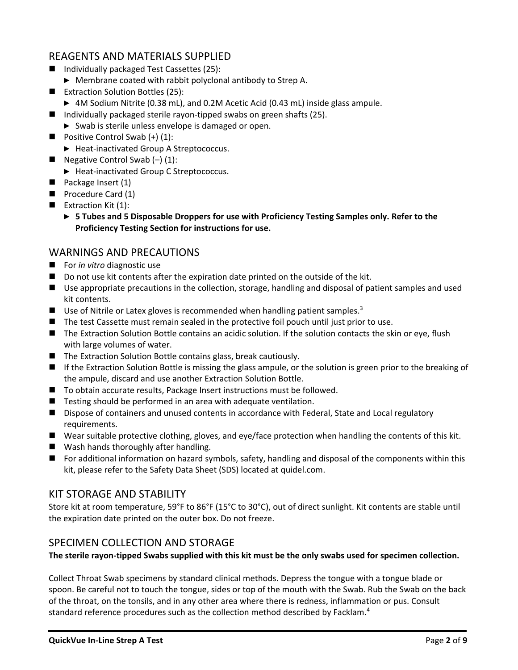# REAGENTS AND MATERIALS SUPPLIED

- Individually packaged Test Cassettes (25):
	- ► Membrane coated with rabbit polyclonal antibody to Strep A.
- Extraction Solution Bottles (25):
	- ► 4M Sodium Nitrite (0.38 mL), and 0.2M Acetic Acid (0.43 mL) inside glass ampule.
- Individually packaged sterile rayon-tipped swabs on green shafts (25).
	- ► Swab is sterile unless envelope is damaged or open.
- Positive Control Swab  $(+)$  (1):
	- ► Heat-inactivated Group A Streptococcus.
- Negative Control Swab  $(-)$  (1):
	- ► Heat-inactivated Group C Streptococcus.
- Package Insert (1)
- Procedure Card (1)
- $\blacksquare$  Extraction Kit (1):
	- ► **5 Tubes and 5 Disposable Droppers for use with Proficiency Testing Samples only. Refer to the Proficiency Testing Section for instructions for use.**

# WARNINGS AND PRECAUTIONS

- For *in vitro* diagnostic use
- Do not use kit contents after the expiration date printed on the outside of the kit.
- Use appropriate precautions in the collection, storage, handling and disposal of patient samples and used kit contents.
- Use of Nitrile or Latex gloves is recommended when handling patient samples. $3$
- The test Cassette must remain sealed in the protective foil pouch until just prior to use.
- The Extraction Solution Bottle contains an acidic solution. If the solution contacts the skin or eye, flush with large volumes of water.
- The Extraction Solution Bottle contains glass, break cautiously.
- If the Extraction Solution Bottle is missing the glass ampule, or the solution is green prior to the breaking of the ampule, discard and use another Extraction Solution Bottle.
- To obtain accurate results, Package Insert instructions must be followed.
- Testing should be performed in an area with adequate ventilation.
- Dispose of containers and unused contents in accordance with Federal, State and Local regulatory requirements.
- Wear suitable protective clothing, gloves, and eye/face protection when handling the contents of this kit.
- Wash hands thoroughly after handling.
- For additional information on hazard symbols, safety, handling and disposal of the components within this kit, please refer to the Safety Data Sheet (SDS) located at quidel.com.

# KIT STORAGE AND STABILITY

Store kit at room temperature, 59°F to 86°F (15°C to 30°C), out of direct sunlight. Kit contents are stable until the expiration date printed on the outer box. Do not freeze.

# SPECIMEN COLLECTION AND STORAGE

**The sterile rayon-tipped Swabs supplied with this kit must be the only swabs used for specimen collection.** 

Collect Throat Swab specimens by standard clinical methods. Depress the tongue with a tongue blade or spoon. Be careful not to touch the tongue, sides or top of the mouth with the Swab. Rub the Swab on the back of the throat, on the tonsils, and in any other area where there is redness, inflammation or pus. Consult standard reference procedures such as the collection method described by Facklam.<sup>4</sup>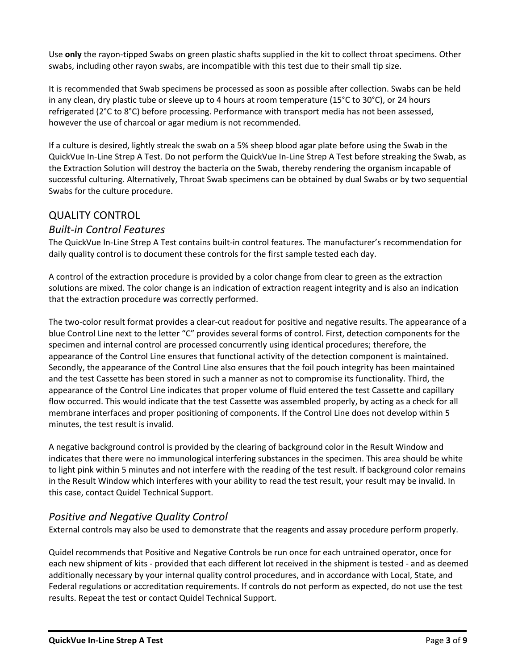Use **only** the rayon-tipped Swabs on green plastic shafts supplied in the kit to collect throat specimens. Other swabs, including other rayon swabs, are incompatible with this test due to their small tip size.

It is recommended that Swab specimens be processed as soon as possible after collection. Swabs can be held in any clean, dry plastic tube or sleeve up to 4 hours at room temperature (15°C to 30°C), or 24 hours refrigerated (2°C to 8°C) before processing. Performance with transport media has not been assessed, however the use of charcoal or agar medium is not recommended.

If a culture is desired, lightly streak the swab on a 5% sheep blood agar plate before using the Swab in the QuickVue In-Line Strep A Test. Do not perform the QuickVue In-Line Strep A Test before streaking the Swab, as the Extraction Solution will destroy the bacteria on the Swab, thereby rendering the organism incapable of successful culturing. Alternatively, Throat Swab specimens can be obtained by dual Swabs or by two sequential Swabs for the culture procedure.

# QUALITY CONTROL

# *Built-in Control Features*

The QuickVue In-Line Strep A Test contains built-in control features. The manufacturer's recommendation for daily quality control is to document these controls for the first sample tested each day.

A control of the extraction procedure is provided by a color change from clear to green as the extraction solutions are mixed. The color change is an indication of extraction reagent integrity and is also an indication that the extraction procedure was correctly performed.

The two-color result format provides a clear-cut readout for positive and negative results. The appearance of a blue Control Line next to the letter "C" provides several forms of control. First, detection components for the specimen and internal control are processed concurrently using identical procedures; therefore, the appearance of the Control Line ensures that functional activity of the detection component is maintained. Secondly, the appearance of the Control Line also ensures that the foil pouch integrity has been maintained and the test Cassette has been stored in such a manner as not to compromise its functionality. Third, the appearance of the Control Line indicates that proper volume of fluid entered the test Cassette and capillary flow occurred. This would indicate that the test Cassette was assembled properly, by acting as a check for all membrane interfaces and proper positioning of components. If the Control Line does not develop within 5 minutes, the test result is invalid.

A negative background control is provided by the clearing of background color in the Result Window and indicates that there were no immunological interfering substances in the specimen. This area should be white to light pink within 5 minutes and not interfere with the reading of the test result. If background color remains in the Result Window which interferes with your ability to read the test result, your result may be invalid. In this case, contact Quidel Technical Support.

# *Positive and Negative Quality Control*

External controls may also be used to demonstrate that the reagents and assay procedure perform properly.

Quidel recommends that Positive and Negative Controls be run once for each untrained operator, once for each new shipment of kits - provided that each different lot received in the shipment is tested - and as deemed additionally necessary by your internal quality control procedures, and in accordance with Local, State, and Federal regulations or accreditation requirements. If controls do not perform as expected, do not use the test results. Repeat the test or contact Quidel Technical Support.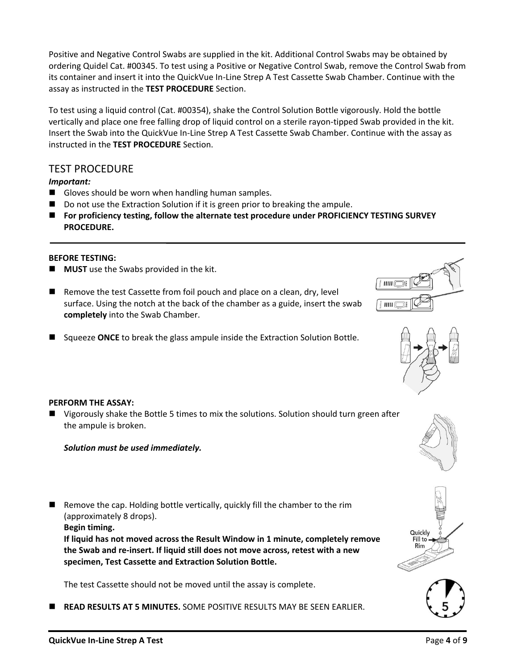Positive and Negative Control Swabs are supplied in the kit. Additional Control Swabs may be obtained by ordering Quidel Cat. #00345. To test using a Positive or Negative Control Swab, remove the Control Swab from its container and insert it into the QuickVue In-Line Strep A Test Cassette Swab Chamber. Continue with the assay as instructed in the **TEST PROCEDURE** Section.

To test using a liquid control (Cat. #00354), shake the Control Solution Bottle vigorously. Hold the bottle vertically and place one free falling drop of liquid control on a sterile rayon-tipped Swab provided in the kit. Insert the Swab into the QuickVue In-Line Strep A Test Cassette Swab Chamber. Continue with the assay as instructed in the **TEST PROCEDURE** Section.

#### TEST PROCEDURE

*Important:*

- Gloves should be worn when handling human samples.
- Do not use the Extraction Solution if it is green prior to breaking the ampule.
- For proficiency testing, follow the alternate test procedure under PROFICIENCY TESTING SURVEY **PROCEDURE.**

#### **BEFORE TESTING:**

- **MUST** use the Swabs provided in the kit.
- Remove the test Cassette from foil pouch and place on a clean, dry, level surface. Using the notch at the back of the chamber as a guide, insert the swab **completely** into the Swab Chamber.
- Squeeze ONCE to break the glass ampule inside the Extraction Solution Bottle.





#### **PERFORM THE ASSAY:**

■ Vigorously shake the Bottle 5 times to mix the solutions. Solution should turn green after the ampule is broken.

#### *Solution must be used immediately.*

■ Remove the cap. Holding bottle vertically, quickly fill the chamber to the rim (approximately 8 drops).

**Begin timing.**

**If liquid has not moved across the Result Window in 1 minute, completely remove the Swab and re-insert. If liquid still does not move across, retest with a new specimen, Test Cassette and Extraction Solution Bottle.**

The test Cassette should not be moved until the assay is complete.

◼ **READ RESULTS AT 5 MINUTES.** SOME POSITIVE RESULTS MAY BE SEEN EARLIER.





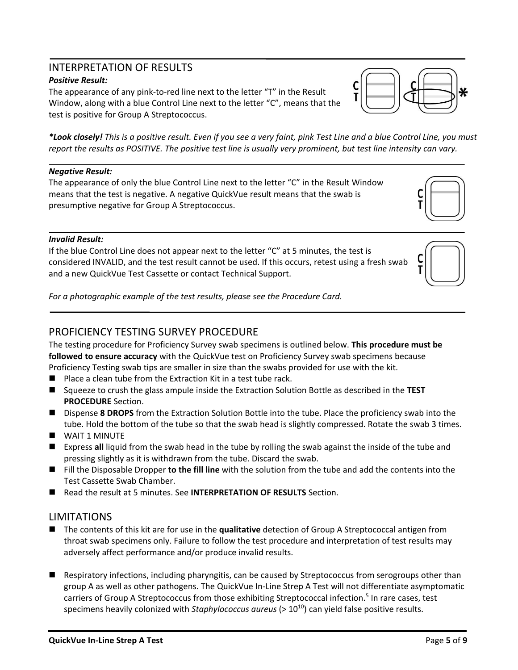# INTERPRETATION OF RESULTS

#### *Positive Result:*

The appearance of any pink-to-red line next to the letter "T" in the Result Window, along with a blue Control Line next to the letter "C", means that the test is positive for Group A Streptococcus.

*\*Look closely! This is a positive result. Even if you see a very faint, pink Test Line and a blue Control Line, you must report the results as POSITIVE. The positive test line is usually very prominent, but test line intensity can vary.*

#### *Negative Result:*

The appearance of only the blue Control Line next to the letter "C" in the Result Window means that the test is negative. A negative QuickVue result means that the swab is presumptive negative for Group A Streptococcus.

#### *Invalid Result:*

If the blue Control Line does not appear next to the letter "C" at 5 minutes, the test is considered INVALID, and the test result cannot be used. If this occurs, retest using a fresh swab and a new QuickVue Test Cassette or contact Technical Support.



*For a photographic example of the test results, please see the Procedure Card.*

#### PROFICIENCY TESTING SURVEY PROCEDURE

The testing procedure for Proficiency Survey swab specimens is outlined below. **This procedure must be followed to ensure accuracy** with the QuickVue test on Proficiency Survey swab specimens because Proficiency Testing swab tips are smaller in size than the swabs provided for use with the kit.

- Place a clean tube from the Extraction Kit in a test tube rack.
- Squeeze to crush the glass ampule inside the Extraction Solution Bottle as described in the TEST **PROCEDURE** Section.
- Dispense 8 DROPS from the Extraction Solution Bottle into the tube. Place the proficiency swab into the tube. Hold the bottom of the tube so that the swab head is slightly compressed. Rotate the swab 3 times.
- WAIT 1 MINUTE
- Express all liquid from the swab head in the tube by rolling the swab against the inside of the tube and pressing slightly as it is withdrawn from the tube. Discard the swab.
- Fill the Disposable Dropper **to the fill line** with the solution from the tube and add the contents into the Test Cassette Swab Chamber.
- Read the result at 5 minutes. See **INTERPRETATION OF RESULTS** Section.

#### LIMITATIONS

- The contents of this kit are for use in the **qualitative** detection of Group A Streptococcal antigen from throat swab specimens only. Failure to follow the test procedure and interpretation of test results may adversely affect performance and/or produce invalid results.
- Respiratory infections, including pharyngitis, can be caused by Streptococcus from serogroups other than group A as well as other pathogens. The QuickVue In-Line Strep A Test will not differentiate asymptomatic carriers of Group A Streptococcus from those exhibiting Streptococcal infection.<sup>5</sup> In rare cases, test specimens heavily colonized with *Staphylococcus aureus* (> 10<sup>10</sup>) can yield false positive results.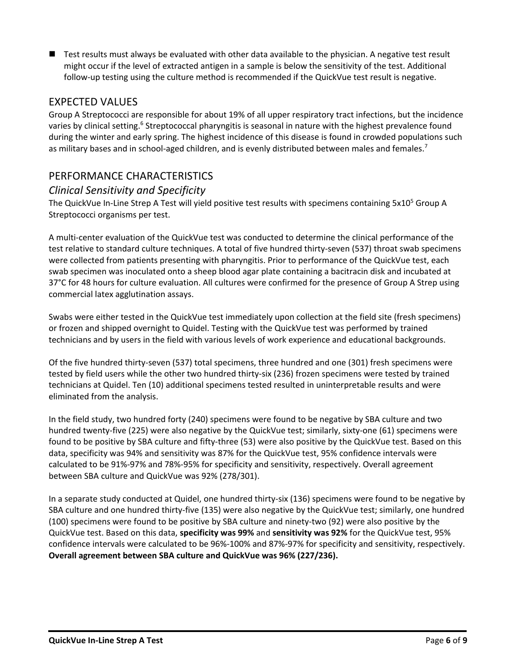■ Test results must always be evaluated with other data available to the physician. A negative test result might occur if the level of extracted antigen in a sample is below the sensitivity of the test. Additional follow-up testing using the culture method is recommended if the QuickVue test result is negative.

# EXPECTED VALUES

Group A Streptococci are responsible for about 19% of all upper respiratory tract infections, but the incidence varies by clinical setting.<sup>6</sup> Streptococcal pharyngitis is seasonal in nature with the highest prevalence found during the winter and early spring. The highest incidence of this disease is found in crowded populations such as military bases and in school-aged children, and is evenly distributed between males and females.<sup>7</sup>

# PERFORMANCE CHARACTERISTICS

#### *Clinical Sensitivity and Specificity*

The QuickVue In-Line Strep A Test will yield positive test results with specimens containing 5x10<sup>5</sup> Group A Streptococci organisms per test.

A multi-center evaluation of the QuickVue test was conducted to determine the clinical performance of the test relative to standard culture techniques. A total of five hundred thirty-seven (537) throat swab specimens were collected from patients presenting with pharyngitis. Prior to performance of the QuickVue test, each swab specimen was inoculated onto a sheep blood agar plate containing a bacitracin disk and incubated at 37°C for 48 hours for culture evaluation. All cultures were confirmed for the presence of Group A Strep using commercial latex agglutination assays.

Swabs were either tested in the QuickVue test immediately upon collection at the field site (fresh specimens) or frozen and shipped overnight to Quidel. Testing with the QuickVue test was performed by trained technicians and by users in the field with various levels of work experience and educational backgrounds.

Of the five hundred thirty-seven (537) total specimens, three hundred and one (301) fresh specimens were tested by field users while the other two hundred thirty-six (236) frozen specimens were tested by trained technicians at Quidel. Ten (10) additional specimens tested resulted in uninterpretable results and were eliminated from the analysis.

In the field study, two hundred forty (240) specimens were found to be negative by SBA culture and two hundred twenty-five (225) were also negative by the QuickVue test; similarly, sixty-one (61) specimens were found to be positive by SBA culture and fifty-three (53) were also positive by the QuickVue test. Based on this data, specificity was 94% and sensitivity was 87% for the QuickVue test, 95% confidence intervals were calculated to be 91%-97% and 78%-95% for specificity and sensitivity, respectively. Overall agreement between SBA culture and QuickVue was 92% (278/301).

In a separate study conducted at Quidel, one hundred thirty-six (136) specimens were found to be negative by SBA culture and one hundred thirty-five (135) were also negative by the QuickVue test; similarly, one hundred (100) specimens were found to be positive by SBA culture and ninety-two (92) were also positive by the QuickVue test. Based on this data, **specificity was 99%** and **sensitivity was 92%** for the QuickVue test, 95% confidence intervals were calculated to be 96%-100% and 87%-97% for specificity and sensitivity, respectively. **Overall agreement between SBA culture and QuickVue was 96% (227/236).**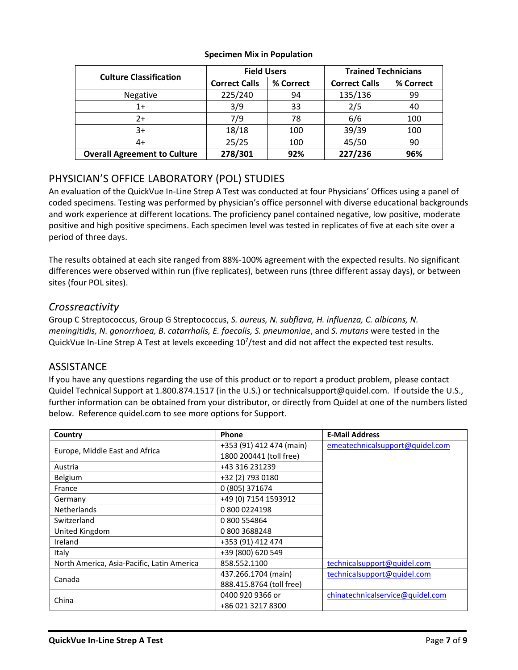| <b>Culture Classification</b>       | <b>Field Users</b>   |           | <b>Trained Technicians</b> |           |
|-------------------------------------|----------------------|-----------|----------------------------|-----------|
|                                     | <b>Correct Calls</b> | % Correct | <b>Correct Calls</b>       | % Correct |
| Negative                            | 225/240              | 94        | 135/136                    | 99        |
| $1+$                                | 3/9                  | 33        | 2/5                        | 40        |
| $2+$                                | 7/9                  | 78        | 6/6                        | 100       |
| $3+$                                | 18/18                | 100       | 39/39                      | 100       |
| 4+                                  | 25/25                | 100       | 45/50                      | 90        |
| <b>Overall Agreement to Culture</b> | 278/301              | 92%       | 227/236                    | 96%       |

#### **Specimen Mix in Population**

# PHYSICIAN'S OFFICE LABORATORY (POL) STUDIES

An evaluation of the QuickVue In-Line Strep A Test was conducted at four Physicians' Offices using a panel of coded specimens. Testing was performed by physician's office personnel with diverse educational backgrounds and work experience at different locations. The proficiency panel contained negative, low positive, moderate positive and high positive specimens. Each specimen level was tested in replicates of five at each site over a period of three days.

The results obtained at each site ranged from 88%-100% agreement with the expected results. No significant differences were observed within run (five replicates), between runs (three different assay days), or between sites (four POL sites).

# *Crossreactivity*

Group C Streptococcus, Group G Streptococcus, *S. aureus, N. subflava, H. influenza, C. albicans, N. meningitidis, N. gonorrhoea, B. catarrhalis, E. faecalis, S. pneumoniae*, and *S. mutans* were tested in the QuickVue In-Line Strep A Test at levels exceeding 10<sup>7</sup>/test and did not affect the expected test results.

# **ASSISTANCE**

If you have any questions regarding the use of this product or to report a product problem, please contact Quidel Technical Support at 1.800.874.1517 (in the U.S.) or technicalsupport@quidel.com. If outside the U.S., further information can be obtained from your distributor, or directly from Quidel at one of the numbers listed below. Reference quidel.com to see more options for Support.

| Country                                    | <b>Phone</b>             | <b>E-Mail Address</b>            |
|--------------------------------------------|--------------------------|----------------------------------|
| Europe, Middle East and Africa             | +353 (91) 412 474 (main) | emeatechnicalsupport@quidel.com  |
|                                            | 1800 200441 (toll free)  |                                  |
| Austria                                    | +43 316 231239           |                                  |
| Belgium                                    | +32 (2) 793 0180         |                                  |
| France                                     | 0 (805) 371674           |                                  |
| Germany                                    | +49 (0) 7154 1593912     |                                  |
| <b>Netherlands</b>                         | 0 800 0224198            |                                  |
| Switzerland                                | 0 800 554864             |                                  |
| United Kingdom                             | 08003688248              |                                  |
| Ireland                                    | +353 (91) 412 474        |                                  |
| Italy                                      | +39 (800) 620 549        |                                  |
| North America, Asia-Pacific, Latin America | 858.552.1100             | technicalsupport@quidel.com      |
| Canada                                     | 437.266.1704 (main)      | technicalsupport@quidel.com      |
|                                            | 888.415.8764 (toll free) |                                  |
| China                                      | 0400 920 9366 or         | chinatechnicalservice@quidel.com |
|                                            | +86 021 3217 8300        |                                  |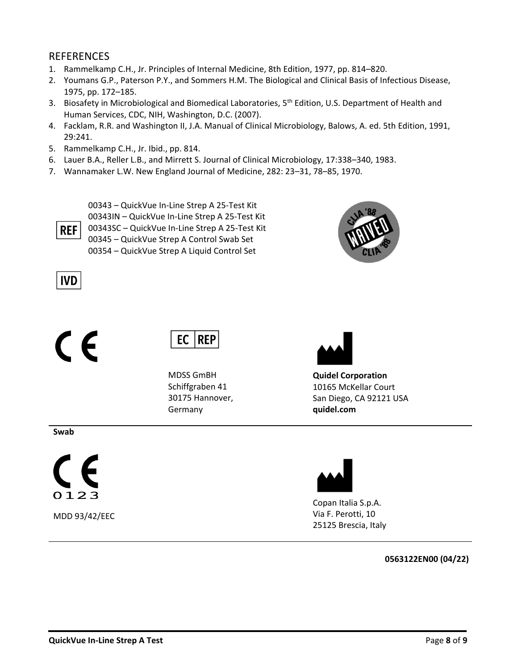#### REFERENCES

- 1. Rammelkamp C.H., Jr. Principles of Internal Medicine, 8th Edition, 1977, pp. 814–820.
- 2. Youmans G.P., Paterson P.Y., and Sommers H.M. The Biological and Clinical Basis of Infectious Disease, 1975, pp. 172–185.
- 3. Biosafety in Microbiological and Biomedical Laboratories, 5<sup>th</sup> Edition, U.S. Department of Health and Human Services, CDC, NIH, Washington, D.C. (2007).
- 4. Facklam, R.R. and Washington II, J.A. Manual of Clinical Microbiology, Balows, A. ed. 5th Edition, 1991, 29:241.
- 5. Rammelkamp C.H., Jr. Ibid., pp. 814.
- 6. Lauer B.A., Reller L.B., and Mirrett S. Journal of Clinical Microbiology, 17:338–340, 1983.
- 7. Wannamaker L.W. New England Journal of Medicine, 282: 23–31, 78–85, 1970.

00343 – QuickVue In-Line Strep A 25-Test Kit 00343IN – QuickVue In-Line Strep A 25-Test Kit 00343SC – QuickVue In-Line Strep A 25-Test Kit 00345 – QuickVue Strep A Control Swab Set 00354 – QuickVue Strep A Liquid Control Set



# **IVD**

**REF** 

# $\epsilon$



MDSS GmBH Schiffgraben 41 30175 Hannover, Germany



**Quidel Corporation** 10165 McKellar Court San Diego, CA 92121 USA **quidel.com**

#### **Swab**



MDD 93/42/EEC



Copan Italia S.p.A. Via F. Perotti, 10 25125 Brescia, Italy

#### **0563122EN00 (04/22)**